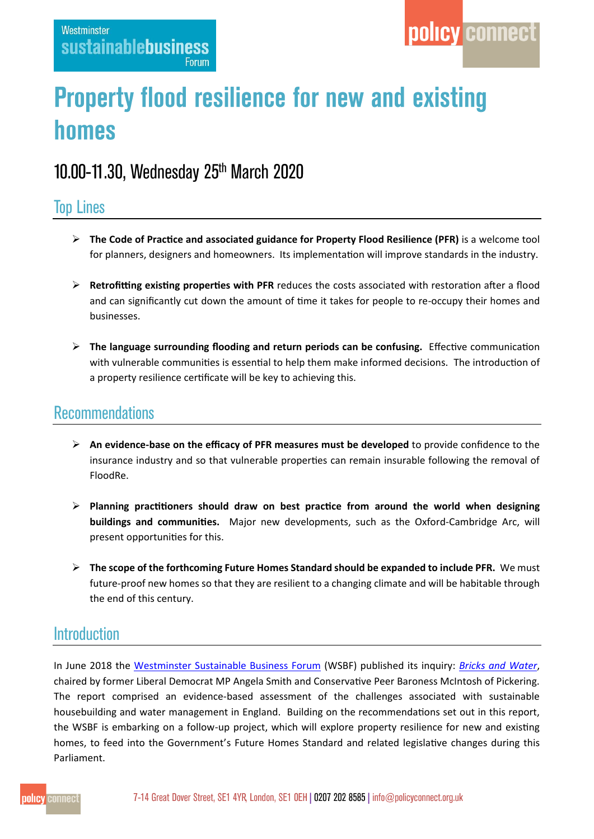# **Property flood resilience for new and existing** homes

# 10.00-11.30, Wednesday 25th March 2020

# **Top Lines**

- **The Code of Practice and associated guidance for Property Flood Resilience (PFR)** is a welcome tool for planners, designers and homeowners. Its implementation will improve standards in the industry.
- **Retrofitting existing properties with PFR** reduces the costs associated with restoration after a flood and can significantly cut down the amount of time it takes for people to re-occupy their homes and businesses.
- **The language surrounding flooding and return periods can be confusing.** Effective communication with vulnerable communities is essential to help them make informed decisions. The introduction of a property resilience certificate will be key to achieving this.

# **Recommendations**

- **An evidence-base on the efficacy of PFR measures must be developed** to provide confidence to the insurance industry and so that vulnerable properties can remain insurable following the removal of FloodRe.
- **Planning practitioners should draw on best practice from around the world when designing buildings and communities.** Major new developments, such as the Oxford-Cambridge Arc, will present opportunities for this.
- **The scope of the forthcoming Future Homes Standard should be expanded to include PFR.** We must future-proof new homes so that they are resilient to a changing climate and will be habitable through the end of this century.

## **Introduction**

In June 2018 the [Westminster Sustainable Business Forum](https://www.policyconnect.org.uk/wsbf/) (WSBF) published its inquiry: *[Bricks and Water](https://www.policyconnect.org.uk/research/bricks-water-plan-action-building-homes-and-managing-water-england)*, chaired by former Liberal Democrat MP Angela Smith and Conservative Peer Baroness McIntosh of Pickering. The report comprised an evidence-based assessment of the challenges associated with sustainable housebuilding and water management in England. Building on the recommendations set out in this report, the WSBF is embarking on a follow-up project, which will explore property resilience for new and existing homes, to feed into the Government's Future Homes Standard and related legislative changes during this Parliament.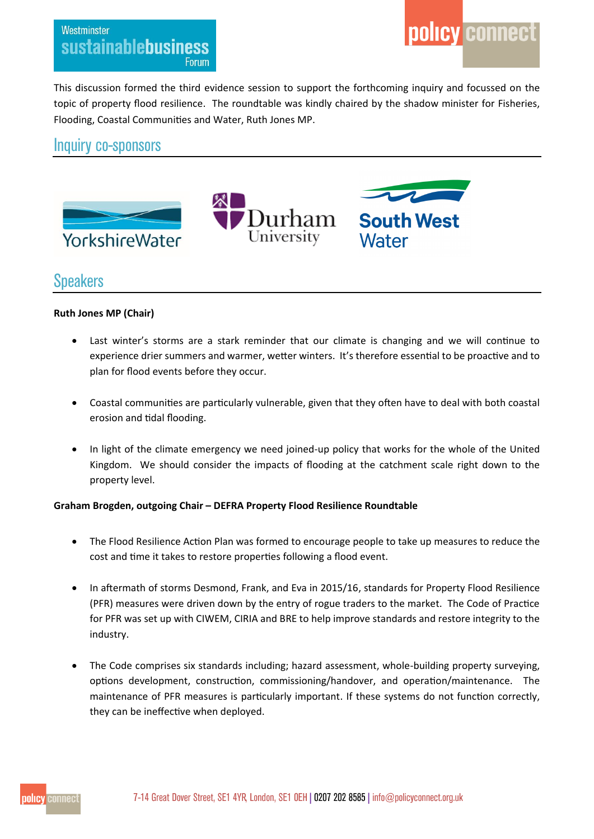#### Westminster sustainablebusiness Forum

This discussion formed the third evidence session to support the forthcoming inquiry and focussed on the topic of property flood resilience. The roundtable was kindly chaired by the shadow minister for Fisheries, Flooding, Coastal Communities and Water, Ruth Jones MP.

### Inquiry co-sponsors



### **Speakers**

#### **Ruth Jones MP (Chair)**

- Last winter's storms are a stark reminder that our climate is changing and we will continue to experience drier summers and warmer, wetter winters. It's therefore essential to be proactive and to plan for flood events before they occur.
- Coastal communities are particularly vulnerable, given that they often have to deal with both coastal erosion and tidal flooding.
- In light of the climate emergency we need joined-up policy that works for the whole of the United Kingdom. We should consider the impacts of flooding at the catchment scale right down to the property level.

#### **Graham Brogden, outgoing Chair – DEFRA Property Flood Resilience Roundtable**

- The Flood Resilience Action Plan was formed to encourage people to take up measures to reduce the cost and time it takes to restore properties following a flood event.
- In aftermath of storms Desmond, Frank, and Eva in 2015/16, standards for Property Flood Resilience (PFR) measures were driven down by the entry of rogue traders to the market. The Code of Practice for PFR was set up with CIWEM, CIRIA and BRE to help improve standards and restore integrity to the industry.
- The Code comprises six standards including; hazard assessment, whole-building property surveying, options development, construction, commissioning/handover, and operation/maintenance. The maintenance of PFR measures is particularly important. If these systems do not function correctly, they can be ineffective when deployed.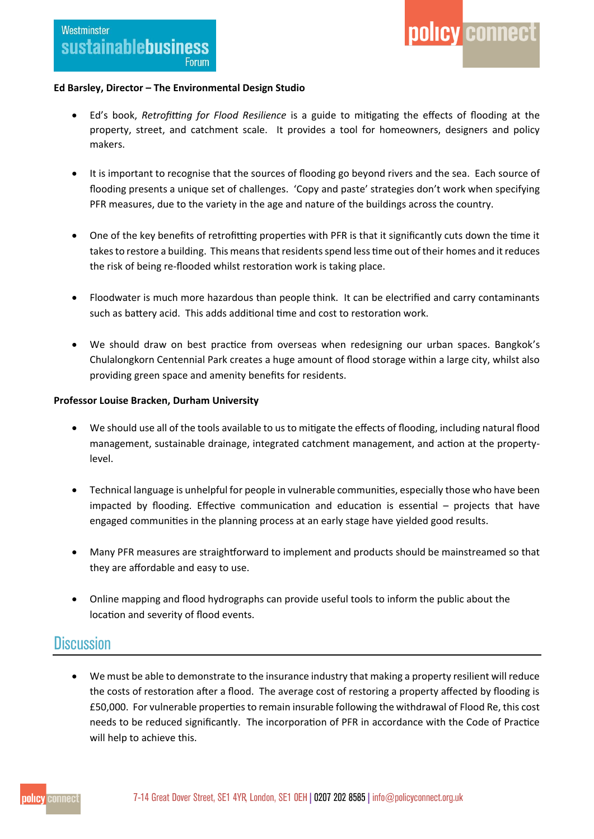#### **Ed Barsley, Director – The Environmental Design Studio**

 Ed's book, *Retrofitting for Flood Resilience* is a guide to mitigating the effects of flooding at the property, street, and catchment scale. It provides a tool for homeowners, designers and policy makers.

policy connect

- It is important to recognise that the sources of flooding go beyond rivers and the sea. Each source of flooding presents a unique set of challenges. 'Copy and paste' strategies don't work when specifying PFR measures, due to the variety in the age and nature of the buildings across the country.
- One of the key benefits of retrofitting properties with PFR is that it significantly cuts down the time it takes to restore a building. This means that residents spend less time out of their homes and it reduces the risk of being re-flooded whilst restoration work is taking place.
- Floodwater is much more hazardous than people think. It can be electrified and carry contaminants such as battery acid. This adds additional time and cost to restoration work.
- We should draw on best practice from overseas when redesigning our urban spaces. Bangkok's Chulalongkorn Centennial Park creates a huge amount of flood storage within a large city, whilst also providing green space and amenity benefits for residents.

#### **Professor Louise Bracken, Durham University**

- We should use all of the tools available to us to mitigate the effects of flooding, including natural flood management, sustainable drainage, integrated catchment management, and action at the propertylevel.
- Technical language is unhelpful for people in vulnerable communities, especially those who have been impacted by flooding. Effective communication and education is essential – projects that have engaged communities in the planning process at an early stage have yielded good results.
- Many PFR measures are straightforward to implement and products should be mainstreamed so that they are affordable and easy to use.
- Online mapping and flood hydrographs can provide useful tools to inform the public about the location and severity of flood events.

### **Discussion**

 We must be able to demonstrate to the insurance industry that making a property resilient will reduce the costs of restoration after a flood. The average cost of restoring a property affected by flooding is £50,000. For vulnerable properties to remain insurable following the withdrawal of Flood Re, this cost needs to be reduced significantly. The incorporation of PFR in accordance with the Code of Practice will help to achieve this.